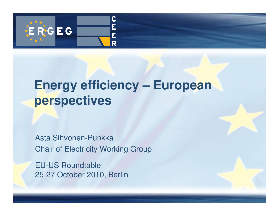

## **Energy efficiency – European perspectives**

Asta Sihvonen-Punkka Chair of Electricity Working Group

EU-US Roundtable25-27 October 2010, Berlin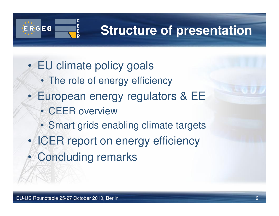

# **Structure of presentation**

- • EU climate policy goals
	- The role of energy efficiency
- • European energy regulators & EE
	- CEER overview
	- Smart grids enabling climate targets
- •ICER report on energy efficiency
- $\bullet$ Concluding remarks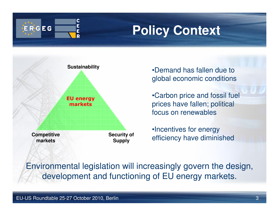

## **Policy Context**



•Demand has fallen due to global economic conditions

•Carbon price and fossil fuel prices have fallen; political focus on renewables

•Incentives for energy efficiency have diminished

Environmental legislation will increasingly govern the design, development and functioning of EU energy markets.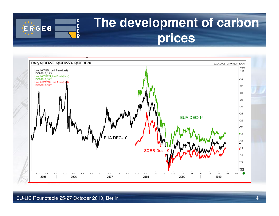

## **The development of carbon prices**

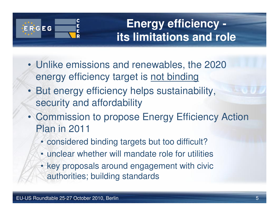

**Energy efficiency its limitations and role**

- Unlike emissions and renewables, the 2020 energy efficiency target is not binding
- But energy efficiency helps sustainability, security and affordability
- Commission to propose Energy Efficiency Action Plan in 2011
	- considered binding targets but too difficult?
	- unclear whether will mandate role for utilities
	- key proposals around engagement with civic authorities; building standards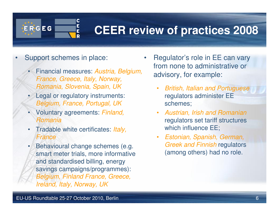

#### **CEER review of practices 2008**

- • Support schemes in place:
	- Financial measures: *Austria, Belgium,* France, Greece, Italy, Norway, Romania, Slovenia, Spain, UK
	- Legal or regulatory instruments: •Belgium, France, Portugal, UK
	- Voluntary agreements: Finland, •Romania
	- •Tradable white certificates: *Italy*, **France**
	- • Behavioural change schemes (e.g. smart meter trials, more informative and standardised billing, energy savings campaigns/programmes): Belgium, Finland France, Greece, Ireland, Italy, Norway, UK
- • Regulator's role in EE can vary from none to administrative or advisory, for example:
	- • British, Italian and Portuguese regulators administer EE schemes;
	- • Austrian, Irish and Romanian regulators set tariff structures which influence EE;
	- • Estonian, Spanish, German, Greek and Finnish regulators (among others) had no role.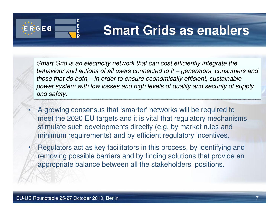

•

### **Smart Grids as enablers**

Smart Grid is an electricity network that can cost efficiently integrate the behaviour and actions of all users connected to it – generators, consumers and behaviour and actions of all users connected to it – generators, consumers and those that do both – in order to ensure economically efficient, sustainable those that do both – in order to ensure economically efficient, sustainable power system with low losses and high levels of quality and security of supply and safety.

- A growing consensus that 'smarter' networks will be required to meet the 2020 EU targets and it is vital that regulatory mechanisms stimulate such developments directly (e.g. by market rules and minimum requirements) and by efficient regulatory incentives.
- • Regulators act as key facilitators in this process, by identifying and removing possible barriers and by finding solutions that provide an appropriate balance between all the stakeholders' positions.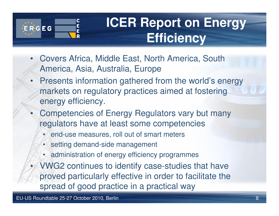

# **ICER Report on Energy Efficiency**

- • Covers Africa, Middle East, North America, South America, Asia, Australia, Europe
- • Presents information gathered from the world's energy markets on regulatory practices aimed at fostering energy efficiency.
- • Competencies of Energy Regulators vary but many regulators have at least some competencies
	- end-use measures, roll out of smart meters
	- setting demand-side management
	- administration of energy efficiency programmes
- • VWG2 continues to identify case-studies that have proved particularly effective in order to facilitate the spread of good practice in a practical way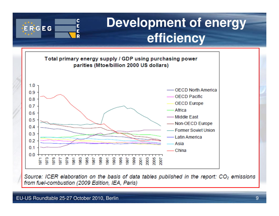## **Development of energy efficiency**



Source: ICER elaboration on the basis of data tables published in the report: CO<sub>2</sub> emissions from fuel-combustion (2009 Edition, IEA, Paris)

 $\overline{\mathbf{C}}$ Ė

E R

ERGEG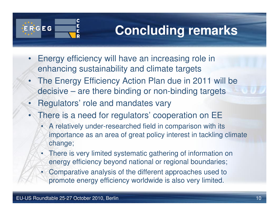

# **Concluding remarks**

- • Energy efficiency will have an increasing role in enhancing sustainability and climate targets
- • The Energy Efficiency Action Plan due in 2011 will be decisive – are there binding or non-binding targets
- •Regulators' role and mandates vary
- • There is a need for regulators' cooperation on EE
	- A relatively under-researched field in comparison with its importance as an area of great policy interest in tackling climate change;
	- There is very limited systematic gathering of information on energy efficiency beyond national or regional boundaries;
	- Comparative analysis of the different approaches used to promote energy efficiency worldwide is also very limited.